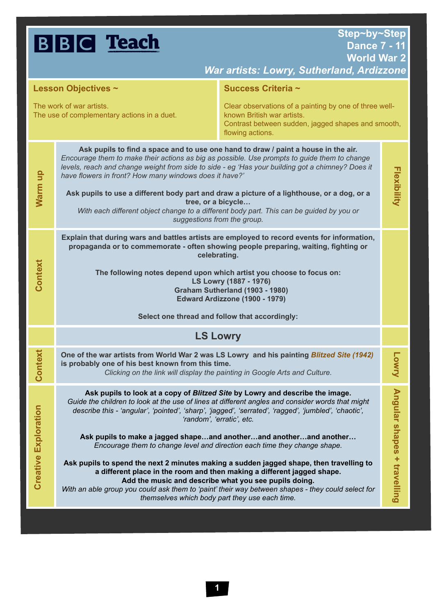## **BBC** Teach

| <b>Lesson Objectives ~</b>                                              |                                                                                                                                                                                                                                                                                                                                                                                                                                                                                                                                                                                                                                                                                                                                                            | Success Criteria ~                                                                                                                                             |                                 |
|-------------------------------------------------------------------------|------------------------------------------------------------------------------------------------------------------------------------------------------------------------------------------------------------------------------------------------------------------------------------------------------------------------------------------------------------------------------------------------------------------------------------------------------------------------------------------------------------------------------------------------------------------------------------------------------------------------------------------------------------------------------------------------------------------------------------------------------------|----------------------------------------------------------------------------------------------------------------------------------------------------------------|---------------------------------|
| The work of war artists.<br>The use of complementary actions in a duet. |                                                                                                                                                                                                                                                                                                                                                                                                                                                                                                                                                                                                                                                                                                                                                            | Clear observations of a painting by one of three well-<br>known British war artists.<br>Contrast between sudden, jagged shapes and smooth,<br>flowing actions. |                                 |
| Warm up                                                                 | Ask pupils to find a space and to use one hand to draw / paint a house in the air.<br>Encourage them to make their actions as big as possible. Use prompts to guide them to change<br>levels, reach and change weight from side to side - eg 'Has your building got a chimney? Does it<br>have flowers in front? How many windows does it have?'<br>Ask pupils to use a different body part and draw a picture of a lighthouse, or a dog, or a<br>tree, or a bicycle<br>With each different object change to a different body part. This can be guided by you or<br>suggestions from the group.                                                                                                                                                            |                                                                                                                                                                | Flexibility                     |
| Context                                                                 | Explain that during wars and battles artists are employed to record events for information,<br>propaganda or to commemorate - often showing people preparing, waiting, fighting or<br>celebrating.<br>The following notes depend upon which artist you choose to focus on:<br>LS Lowry (1887 - 1976)<br>Graham Sutherland (1903 - 1980)<br>Edward Ardizzone (1900 - 1979)<br>Select one thread and follow that accordingly:                                                                                                                                                                                                                                                                                                                                |                                                                                                                                                                |                                 |
|                                                                         | <b>LS Lowry</b>                                                                                                                                                                                                                                                                                                                                                                                                                                                                                                                                                                                                                                                                                                                                            |                                                                                                                                                                |                                 |
| Context                                                                 | One of the war artists from World War 2 was LS Lowry and his painting Blitzed Site (1942)<br>is probably one of his best known from this time.<br>Clicking on the link will display the painting in Google Arts and Culture.                                                                                                                                                                                                                                                                                                                                                                                                                                                                                                                               |                                                                                                                                                                | <b>Lowny</b>                    |
| <b>Creative Exploration</b>                                             | Ask pupils to look at a copy of Blitzed Site by Lowry and describe the image.<br>Guide the children to look at the use of lines at different angles and consider words that might<br>describe this - 'angular', 'pointed', 'sharp', 'jagged', 'serrated', 'ragged', 'jumbled', 'chaotic',<br>'random', 'erratic', etc.<br>Ask pupils to make a jagged shapeand anotherand anotherand another<br>Encourage them to change level and direction each time they change shape.<br>Ask pupils to spend the next 2 minutes making a sudden jagged shape, then travelling to<br>a different place in the room and then making a different jagged shape.<br>Add the music and describe what you see pupils doing.<br>themselves which body part they use each time. | With an able group you could ask them to 'paint' their way between shapes - they could select for                                                              | An<br>gular shapes + travelling |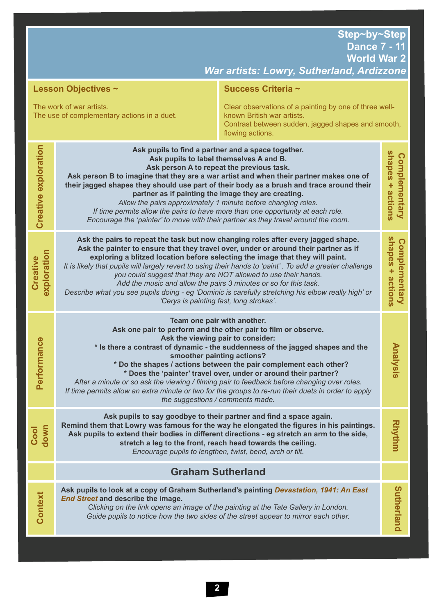**World War 2**

| War artists: Lowry, Sutherland, Ardizzone                                                                                                                                                                                                 |                                                                                                                                                                                                                                                                                                                                                                                                                                                                                                                                                                                                                                                                |                                                                                                                                                                                                                                                       |                                   |
|-------------------------------------------------------------------------------------------------------------------------------------------------------------------------------------------------------------------------------------------|----------------------------------------------------------------------------------------------------------------------------------------------------------------------------------------------------------------------------------------------------------------------------------------------------------------------------------------------------------------------------------------------------------------------------------------------------------------------------------------------------------------------------------------------------------------------------------------------------------------------------------------------------------------|-------------------------------------------------------------------------------------------------------------------------------------------------------------------------------------------------------------------------------------------------------|-----------------------------------|
| Success Criteria ~<br><b>Lesson Objectives ~</b>                                                                                                                                                                                          |                                                                                                                                                                                                                                                                                                                                                                                                                                                                                                                                                                                                                                                                |                                                                                                                                                                                                                                                       |                                   |
| The work of war artists.<br>Clear observations of a painting by one of three well-<br>known British war artists.<br>The use of complementary actions in a duet.<br>Contrast between sudden, jagged shapes and smooth,<br>flowing actions. |                                                                                                                                                                                                                                                                                                                                                                                                                                                                                                                                                                                                                                                                |                                                                                                                                                                                                                                                       |                                   |
| Creative exploration                                                                                                                                                                                                                      | Ask pupils to find a partner and a space together.<br>Ask pupils to label themselves A and B.<br>Ask person A to repeat the previous task.<br>Ask person B to imagine that they are a war artist and when their partner makes one of<br>their jagged shapes they should use part of their body as a brush and trace around their<br>partner as if painting the image they are creating.<br>Allow the pairs approximately 1 minute before changing roles.<br>If time permits allow the pairs to have more than one opportunity at each role.<br>Encourage the 'painter' to move with their partner as they travel around the room.                              |                                                                                                                                                                                                                                                       | shapes + actions<br>Complementary |
| exploration<br>Creative                                                                                                                                                                                                                   | Ask the pairs to repeat the task but now changing roles after every jagged shape.<br>Ask the painter to ensure that they travel over, under or around their partner as if<br>exploring a blitzed location before selecting the image that they will paint.<br>It is likely that pupils will largely revert to using their hands to 'paint'. To add a greater challenge<br>you could suggest that they are NOT allowed to use their hands.<br>Add the music and allow the pairs 3 minutes or so for this task.<br>Describe what you see pupils doing - eg 'Dominic is carefully stretching his elbow really high' or<br>'Cerys is painting fast, long strokes'. |                                                                                                                                                                                                                                                       | shapes + actions<br>Complementary |
| Performance                                                                                                                                                                                                                               | Team one pair with another.<br>Ask one pair to perform and the other pair to film or observe.<br>Ask the viewing pair to consider:<br>* Is there a contrast of dynamic - the suddenness of the jagged shapes and the<br>smoother painting actions?<br>* Do the shapes / actions between the pair complement each other?<br>* Does the 'painter' travel over, under or around their partner?<br>After a minute or so ask the viewing / filming pair to feedback before changing over roles.<br>If time permits allow an extra minute or two for the groups to re-run their duets in order to apply<br>the suggestions / comments made.                          |                                                                                                                                                                                                                                                       | <b>Analysis</b>                   |
| down<br>Cool                                                                                                                                                                                                                              | Ask pupils to say goodbye to their partner and find a space again.<br>Encourage pupils to lengthen, twist, bend, arch or tilt.                                                                                                                                                                                                                                                                                                                                                                                                                                                                                                                                 | Remind them that Lowry was famous for the way he elongated the figures in his paintings.<br>Ask pupils to extend their bodies in different directions - eg stretch an arm to the side,<br>stretch a leg to the front, reach head towards the ceiling. | <b>Rhythm</b>                     |
|                                                                                                                                                                                                                                           | <b>Graham Sutherland</b>                                                                                                                                                                                                                                                                                                                                                                                                                                                                                                                                                                                                                                       |                                                                                                                                                                                                                                                       |                                   |
| Context                                                                                                                                                                                                                                   | Ask pupils to look at a copy of Graham Sutherland's painting Devastation, 1941: An East<br>End Street and describe the image.                                                                                                                                                                                                                                                                                                                                                                                                                                                                                                                                  | Clicking on the link opens an image of the painting at the Tate Gallery in London.<br>Guide pupils to notice how the two sides of the street appear to mirror each other.                                                                             | Sutherland                        |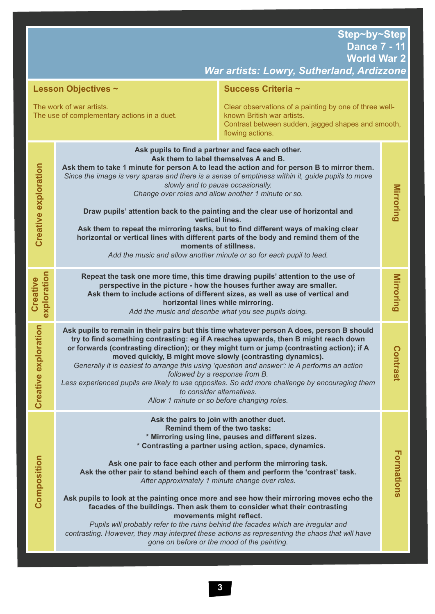**World War 2**

| War artists: Lowry, Sutherland, Ardizzone                                                                                                                                                                                                 |                                                                                                                                                                                                                                                                                                                                                                                                                                                                                                                                                                                                                                                                                                                                                                               |                                                                                                               |            |
|-------------------------------------------------------------------------------------------------------------------------------------------------------------------------------------------------------------------------------------------|-------------------------------------------------------------------------------------------------------------------------------------------------------------------------------------------------------------------------------------------------------------------------------------------------------------------------------------------------------------------------------------------------------------------------------------------------------------------------------------------------------------------------------------------------------------------------------------------------------------------------------------------------------------------------------------------------------------------------------------------------------------------------------|---------------------------------------------------------------------------------------------------------------|------------|
| Success Criteria ~<br><b>Lesson Objectives ~</b>                                                                                                                                                                                          |                                                                                                                                                                                                                                                                                                                                                                                                                                                                                                                                                                                                                                                                                                                                                                               |                                                                                                               |            |
| The work of war artists.<br>Clear observations of a painting by one of three well-<br>known British war artists.<br>The use of complementary actions in a duet.<br>Contrast between sudden, jagged shapes and smooth,<br>flowing actions. |                                                                                                                                                                                                                                                                                                                                                                                                                                                                                                                                                                                                                                                                                                                                                                               |                                                                                                               |            |
| <b>Creative exploration</b>                                                                                                                                                                                                               | Ask pupils to find a partner and face each other.<br>Ask them to label themselves A and B.<br>Ask them to take 1 minute for person A to lead the action and for person B to mirror them.<br>Since the image is very sparse and there is a sense of emptiness within it, guide pupils to move<br>slowly and to pause occasionally.<br>Change over roles and allow another 1 minute or so.<br>Draw pupils' attention back to the painting and the clear use of horizontal and<br>vertical lines.<br>Ask them to repeat the mirroring tasks, but to find different ways of making clear<br>horizontal or vertical lines with different parts of the body and remind them of the<br>moments of stillness.<br>Add the music and allow another minute or so for each pupil to lead. |                                                                                                               | Mirroring  |
| exploration<br>Creative                                                                                                                                                                                                                   | Repeat the task one more time, this time drawing pupils' attention to the use of<br>perspective in the picture - how the houses further away are smaller.<br>Ask them to include actions of different sizes, as well as use of vertical and<br>horizontal lines while mirroring.<br>Add the music and describe what you see pupils doing.                                                                                                                                                                                                                                                                                                                                                                                                                                     |                                                                                                               | Mirroring  |
| ative exploration<br>Cre                                                                                                                                                                                                                  | Ask pupils to remain in their pairs but this time whatever person A does, person B should<br>try to find something contrasting: eg if A reaches upwards, then B might reach down<br>or forwards (contrasting direction); or they might turn or jump (contrasting action); if A<br>moved quickly, B might move slowly (contrasting dynamics).<br>Generally it is easiest to arrange this using 'question and answer': ie A performs an action<br>followed by a response from B.<br>Less experienced pupils are likely to use opposites. So add more challenge by encouraging them<br>to consider alternatives.<br>Allow 1 minute or so before changing roles.                                                                                                                  |                                                                                                               | Contrast   |
| Composition                                                                                                                                                                                                                               | Ask the pairs to join with another duet.<br><b>Remind them of the two tasks:</b><br>Ask one pair to face each other and perform the mirroring task.<br>Ask the other pair to stand behind each of them and perform the 'contrast' task.<br>After approximately 1 minute change over roles.<br>Ask pupils to look at the painting once more and see how their mirroring moves echo the<br>facades of the buildings. Then ask them to consider what their contrasting<br>movements might reflect.<br>Pupils will probably refer to the ruins behind the facades which are irregular and<br>contrasting. However, they may interpret these actions as representing the chaos that will have<br>gone on before or the mood of the painting.                                       | * Mirroring using line, pauses and different sizes.<br>* Contrasting a partner using action, space, dynamics. | Formations |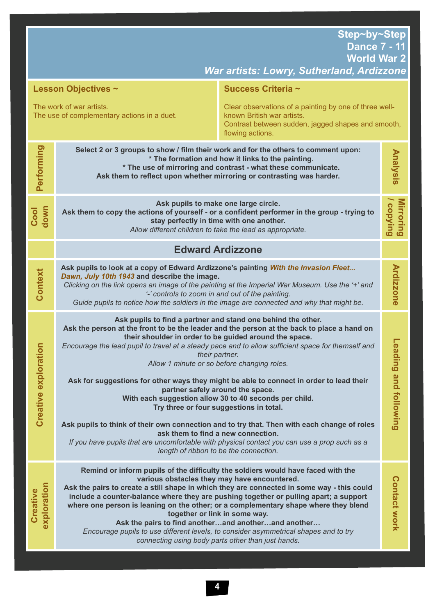*War artists: Lowry, Sutherland, Ardizzone*

| <b>Lesson Objectives ~</b>                                                                                                                                                                                                                |                                                                                                                                                                                                                                                                                                                                                                                                                                                                                                                                                             | Success Criteria ~                                                                                                                                                                                                                                                                                                                                                                                                                                                                                                                                                                                                                                                                                                                                                                                                                                                                                             |                        |
|-------------------------------------------------------------------------------------------------------------------------------------------------------------------------------------------------------------------------------------------|-------------------------------------------------------------------------------------------------------------------------------------------------------------------------------------------------------------------------------------------------------------------------------------------------------------------------------------------------------------------------------------------------------------------------------------------------------------------------------------------------------------------------------------------------------------|----------------------------------------------------------------------------------------------------------------------------------------------------------------------------------------------------------------------------------------------------------------------------------------------------------------------------------------------------------------------------------------------------------------------------------------------------------------------------------------------------------------------------------------------------------------------------------------------------------------------------------------------------------------------------------------------------------------------------------------------------------------------------------------------------------------------------------------------------------------------------------------------------------------|------------------------|
| The work of war artists.<br>Clear observations of a painting by one of three well-<br>known British war artists.<br>The use of complementary actions in a duet.<br>Contrast between sudden, jagged shapes and smooth,<br>flowing actions. |                                                                                                                                                                                                                                                                                                                                                                                                                                                                                                                                                             |                                                                                                                                                                                                                                                                                                                                                                                                                                                                                                                                                                                                                                                                                                                                                                                                                                                                                                                |                        |
| Performing                                                                                                                                                                                                                                | Select 2 or 3 groups to show / film their work and for the others to comment upon:<br>* The formation and how it links to the painting.<br>* The use of mirroring and contrast - what these communicate.<br>Ask them to reflect upon whether mirroring or contrasting was harder.                                                                                                                                                                                                                                                                           |                                                                                                                                                                                                                                                                                                                                                                                                                                                                                                                                                                                                                                                                                                                                                                                                                                                                                                                | Analysis               |
| Cool<br>down                                                                                                                                                                                                                              | Ask pupils to make one large circle.<br>Ask them to copy the actions of yourself - or a confident performer in the group - trying to<br>stay perfectly in time with one another.<br>Allow different children to take the lead as appropriate.                                                                                                                                                                                                                                                                                                               |                                                                                                                                                                                                                                                                                                                                                                                                                                                                                                                                                                                                                                                                                                                                                                                                                                                                                                                | Mirroring<br>/ copying |
|                                                                                                                                                                                                                                           | <b>Edward Ardizzone</b>                                                                                                                                                                                                                                                                                                                                                                                                                                                                                                                                     |                                                                                                                                                                                                                                                                                                                                                                                                                                                                                                                                                                                                                                                                                                                                                                                                                                                                                                                |                        |
| Context                                                                                                                                                                                                                                   | Ask pupils to look at a copy of Edward Ardizzone's painting With the Invasion Fleet<br>Dawn, July 10th 1943 and describe the image.<br>Clicking on the link opens an image of the painting at the Imperial War Museum. Use the '+' and<br>'-' controls to zoom in and out of the painting.<br>Guide pupils to notice how the soldiers in the image are connected and why that might be.                                                                                                                                                                     |                                                                                                                                                                                                                                                                                                                                                                                                                                                                                                                                                                                                                                                                                                                                                                                                                                                                                                                | <b>Ardizzone</b>       |
| ive exploration<br><b>Creati</b>                                                                                                                                                                                                          |                                                                                                                                                                                                                                                                                                                                                                                                                                                                                                                                                             | Ask pupils to find a partner and stand one behind the other.<br>Ask the person at the front to be the leader and the person at the back to place a hand on<br>their shoulder in order to be guided around the space.<br>Encourage the lead pupil to travel at a steady pace and to allow sufficient space for themself and<br>their partner.<br>Allow 1 minute or so before changing roles.<br>Ask for suggestions for other ways they might be able to connect in order to lead their<br>partner safely around the space.<br>With each suggestion allow 30 to 40 seconds per child.<br>Try three or four suggestions in total.<br>Ask pupils to think of their own connection and to try that. Then with each change of roles<br>ask them to find a new connection.<br>If you have pupils that are uncomfortable with physical contact you can use a prop such as a<br>length of ribbon to be the connection. |                        |
| exploration<br>Creative                                                                                                                                                                                                                   | Remind or inform pupils of the difficulty the soldiers would have faced with the<br>various obstacles they may have encountered.<br>Ask the pairs to create a still shape in which they are connected in some way - this could<br>where one person is leaning on the other; or a complementary shape where they blend<br>together or link in some way.<br>Ask the pairs to find anotherand anotherand another<br>Encourage pupils to use different levels, to consider asymmetrical shapes and to try<br>connecting using body parts other than just hands. | include a counter-balance where they are pushing together or pulling apart; a support                                                                                                                                                                                                                                                                                                                                                                                                                                                                                                                                                                                                                                                                                                                                                                                                                          | <b>Contact work</b>    |